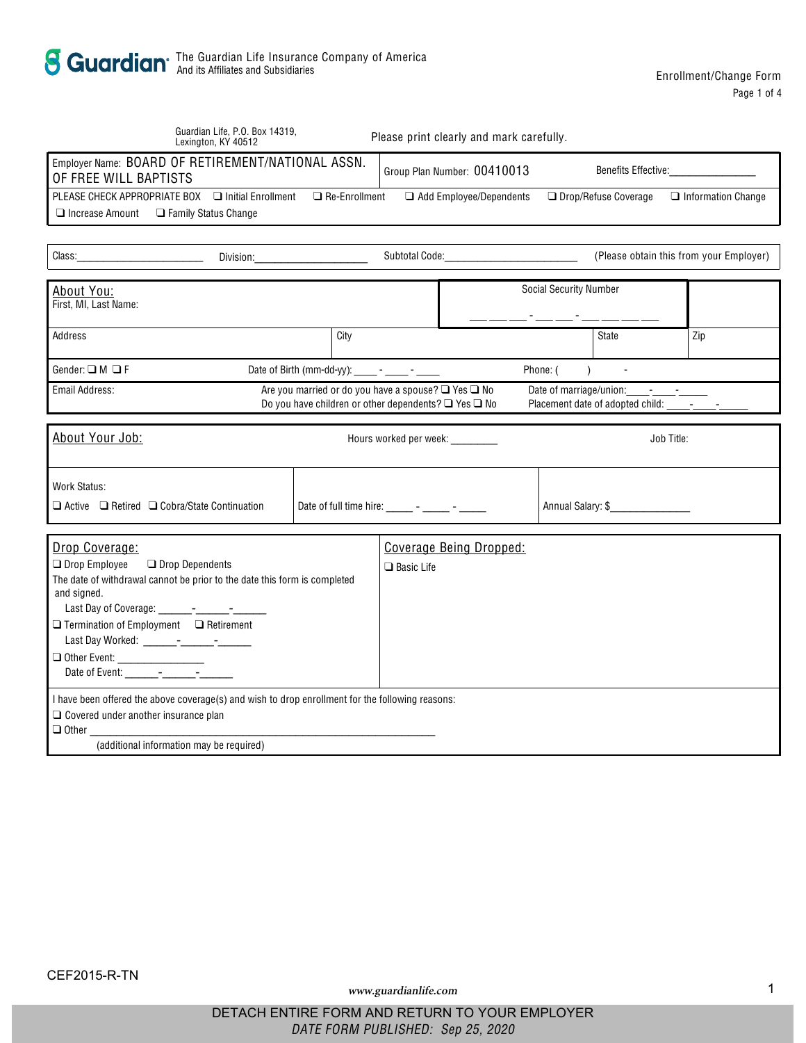|                                                                                                                                                                    | Guardian Life, P.O. Box 14319,<br>Lexington, KY 40512                                                                                                                                                                                           |                                                                                                                                                                                                                               |                                                           | Please print clearly and mark carefully. |                               |                      |                                         |
|--------------------------------------------------------------------------------------------------------------------------------------------------------------------|-------------------------------------------------------------------------------------------------------------------------------------------------------------------------------------------------------------------------------------------------|-------------------------------------------------------------------------------------------------------------------------------------------------------------------------------------------------------------------------------|-----------------------------------------------------------|------------------------------------------|-------------------------------|----------------------|-----------------------------------------|
| Employer Name: BOARD OF RETIREMENT/NATIONAL ASSN.<br>OF FREE WILL BAPTISTS                                                                                         |                                                                                                                                                                                                                                                 |                                                                                                                                                                                                                               | <b>Benefits Effective:</b><br>Group Plan Number: 00410013 |                                          |                               |                      |                                         |
| PLEASE CHECK APPROPRIATE BOX<br>Increase Amount                                                                                                                    | <b>Initial Enrollment</b><br><b>Family Status Change</b>                                                                                                                                                                                        | Re-Enrollment                                                                                                                                                                                                                 |                                                           | Add Employee/Dependents                  |                               | Drop/Refuse Coverage | <b>Information Change</b>               |
|                                                                                                                                                                    |                                                                                                                                                                                                                                                 |                                                                                                                                                                                                                               |                                                           |                                          |                               |                      |                                         |
| Class:                                                                                                                                                             |                                                                                                                                                                                                                                                 | Division: the contract of the contract of the contract of the contract of the contract of the contract of the contract of the contract of the contract of the contract of the contract of the contract of the contract of the |                                                           | Subtotal Code: William Subtotal Code:    |                               |                      | (Please obtain this from your Employer) |
| About You:<br>First. MI. Last Name:                                                                                                                                |                                                                                                                                                                                                                                                 |                                                                                                                                                                                                                               |                                                           |                                          | <b>Social Security Number</b> |                      |                                         |
| Address                                                                                                                                                            |                                                                                                                                                                                                                                                 | City                                                                                                                                                                                                                          |                                                           |                                          |                               | State                | Zip                                     |
| Gender: M F                                                                                                                                                        |                                                                                                                                                                                                                                                 | Date of Birth (mm-dd-yy): ______ - _____ - ______                                                                                                                                                                             |                                                           |                                          | Phone: (<br>$\lambda$         |                      |                                         |
| Email Address:<br>Are you married or do you have a spouse?<br>Yes<br>No<br>Date of marriage/union: - - -<br>Do you have children or other dependents?<br>No<br>Yes |                                                                                                                                                                                                                                                 |                                                                                                                                                                                                                               |                                                           |                                          |                               |                      |                                         |
|                                                                                                                                                                    |                                                                                                                                                                                                                                                 |                                                                                                                                                                                                                               |                                                           |                                          |                               |                      |                                         |
| About Your Job:                                                                                                                                                    |                                                                                                                                                                                                                                                 |                                                                                                                                                                                                                               |                                                           | Hours worked per week: ________          |                               | Job Title:           |                                         |
| <b>Work Status:</b><br>Active<br>Retired                                                                                                                           | Cobra/State Continuation                                                                                                                                                                                                                        | Date of full time hire: $\frac{1}{2}$ - $\frac{1}{2}$ - $\frac{1}{2}$                                                                                                                                                         |                                                           |                                          |                               | Annual Salary: \$    |                                         |
|                                                                                                                                                                    |                                                                                                                                                                                                                                                 |                                                                                                                                                                                                                               |                                                           |                                          |                               |                      |                                         |
| Drop Coverage:<br>Drop Employee<br>and signed.<br>Other Event: __________________<br>Date of Event: - - -<br>Covered under another insurance plan                  | <b>Drop Dependents</b><br>The date of withdrawal cannot be prior to the date this form is completed<br>Termination of Employment Retirement<br>I have been offered the above coverage(s) and wish to drop enrollment for the following reasons: |                                                                                                                                                                                                                               | <b>Basic Life</b>                                         | Coverage Being Dropped:                  |                               |                      |                                         |
| Other                                                                                                                                                              | (additional information may be required)                                                                                                                                                                                                        |                                                                                                                                                                                                                               |                                                           |                                          |                               |                      |                                         |
|                                                                                                                                                                    |                                                                                                                                                                                                                                                 |                                                                                                                                                                                                                               |                                                           |                                          |                               |                      |                                         |

www.guardianlife.com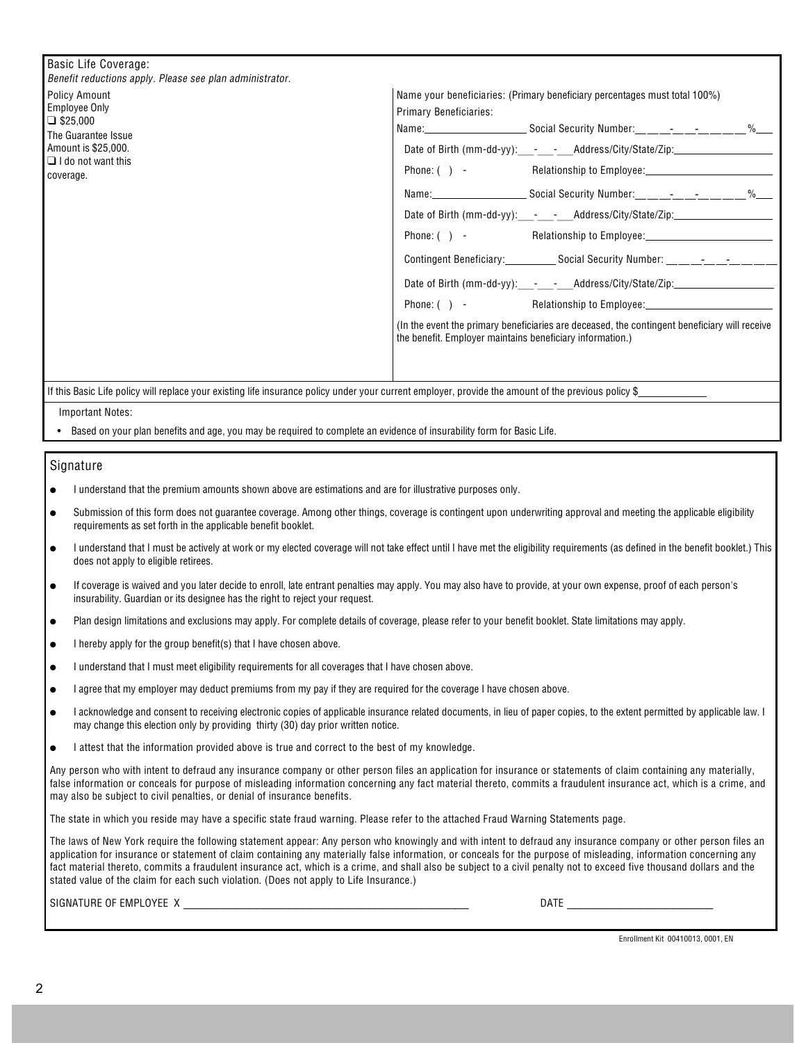|  | Basic Life Coverage: |
|--|----------------------|
|  |                      |

. \_...<br>fit reductione annly. Dlages ess plan administrator

| Delletti requestoris apply. Ficase see plan authinistrator.                                                                                          |                                                                                            |                                                                                                                                                                                                                                                                                                                                                                                                                                                                                                                                                                                                                                                                                              |
|------------------------------------------------------------------------------------------------------------------------------------------------------|--------------------------------------------------------------------------------------------|----------------------------------------------------------------------------------------------------------------------------------------------------------------------------------------------------------------------------------------------------------------------------------------------------------------------------------------------------------------------------------------------------------------------------------------------------------------------------------------------------------------------------------------------------------------------------------------------------------------------------------------------------------------------------------------------|
| <b>Policy Amount</b><br>Employee Only<br>\$25,000<br>The Guarantee Issue<br>Amount is \$25,000.<br>I do not want this<br>coverage.                   | <b>Primary Beneficiaries:</b><br>the benefit. Employer maintains beneficiary information.) | Name your beneficiaries: (Primary beneficiary percentages must total 100%)<br>Date of Birth (mm-dd-yy): - - - Address/City/State/Zip:_________________________<br>Phone: () - Relationship to Employee: 1990 1991 1991 1991 1991 1991 1992 1994 1996 1997 1998 1999 199<br>Date of Birth (mm-dd-yy): - - - Address/City/State/Zip:<br>Contingent Beneficiary: _______________ Social Security Number: ________________<br>Date of Birth (mm-dd-yy):___-___-___Address/City/State/Zip:_____________________<br>Phone: ( ) - Relationship to Employee: Phone: ( ) - Relationship to Employee:<br>(In the event the primary beneficiaries are deceased, the contingent beneficiary will receive |
| If this Basic Life policy will replace your existing life insurance policy under your current employer, provide the amount of the previous policy \$ |                                                                                            |                                                                                                                                                                                                                                                                                                                                                                                                                                                                                                                                                                                                                                                                                              |

**Important Notes:** 

Based on your plan benefits and age, you may be required to complete an evidence of insurability form for Basic Life.

## Signature

I understand that the premium amounts shown above are estimations and are for illustrative purposes only.

Submission of this form does not guarantee coverage. Among other things, coverage is contingent upon underwriting approval and meeting the applicable eligibility requirements as set forth in the applicable benefit booklet.

I understand that I must be actively at work or my elected coverage will not take effect until I have met the eligibility requirements (as defined in the benefit booklet.) This does not apply to eligible retirees.

If coverage is waived and you later decide to enroll, late entrant penalties may apply. You may also have to provide, at your own expense, proof of each person's insurability. Guardian or its designee has the right to reject your request.

Plan design limitations and exclusions may apply. For complete details of coverage, please refer to your benefit booklet. State limitations may apply.

I hereby apply for the group benefit(s) that I have chosen above.

I understand that I must meet eligibility requirements for all coverages that I have chosen above.

I agree that my employer may deduct premiums from my pay if they are required for the coverage I have chosen above.

I acknowledge and consent to receiving electronic copies of applicable insurance related documents, in lieu of paper copies, to the extent permitted by applicable law. I may change this election only by providing thirty (30) day prior written notice.

I attest that the information provided above is true and correct to the best of my knowledge.

Any person who with intent to defraud any insurance company or other person files an application for insurance or statements of claim containing any materially, false information or conceals for purpose of misleading information concerning any fact material thereto, commits a fraudulent insurance act, which is a crime, and may also be subject to civil penalties, or denial of insurance benefits.

The state in which you reside may have a specific state fraud warning. Please refer to the attached Fraud Warning Statements page.

The laws of New York require the following statement appear: Any person who knowingly and with intent to defraud any insurance company or other person files an application for insurance or statement of claim containing any materially false information, or conceals for the purpose of misleading, information concerning any fact material thereto, commits a fraudulent insurance act, which is a crime, and shall also be subject to a civil penalty not to exceed five thousand dollars and the stated value of the claim for each such violation. (Does not apply to Life Insurance.)

SIGNATURE OF EMPLOYEE X

Enrollment Kit 00410013, 0001, EN